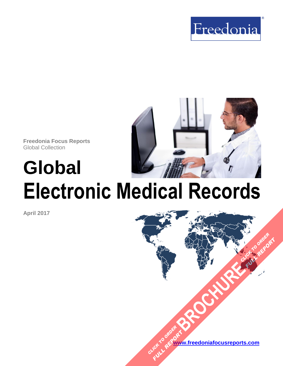



**Freedonia Focus Reports** Global Collection

# **Global Electronic Medical Records**

**April 2017**

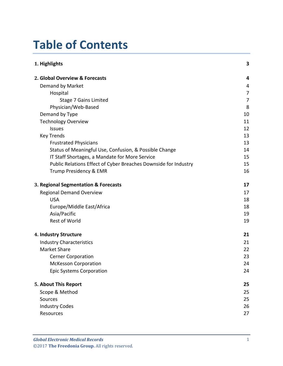### **Table of Contents**

| 1. Highlights                                                   | 3  |
|-----------------------------------------------------------------|----|
| 2. Global Overview & Forecasts                                  | 4  |
| Demand by Market                                                | 4  |
| Hospital                                                        | 7  |
| <b>Stage 7 Gains Limited</b>                                    | 7  |
| Physician/Web-Based                                             | 8  |
| Demand by Type                                                  | 10 |
| <b>Technology Overview</b>                                      | 11 |
| <b>Issues</b>                                                   | 12 |
| <b>Key Trends</b>                                               | 13 |
| <b>Frustrated Physicians</b>                                    | 13 |
| Status of Meaningful Use, Confusion, & Possible Change          | 14 |
| IT Staff Shortages, a Mandate for More Service                  | 15 |
| Public Relations Effect of Cyber Breaches Downside for Industry | 15 |
| Trump Presidency & EMR                                          | 16 |
| 3. Regional Segmentation & Forecasts                            | 17 |
| <b>Regional Demand Overview</b>                                 | 17 |
| <b>USA</b>                                                      | 18 |
| Europe/Middle East/Africa                                       | 18 |
| Asia/Pacific                                                    | 19 |
| Rest of World                                                   | 19 |
| 4. Industry Structure                                           | 21 |
| <b>Industry Characteristics</b>                                 | 21 |
| <b>Market Share</b>                                             | 22 |
| <b>Cerner Corporation</b>                                       | 23 |
| <b>McKesson Corporation</b>                                     | 24 |
| <b>Epic Systems Corporation</b>                                 | 24 |
| 5. About This Report                                            | 25 |
| Scope & Method                                                  | 25 |
| Sources                                                         | 25 |
| <b>Industry Codes</b>                                           | 26 |
| Resources                                                       | 27 |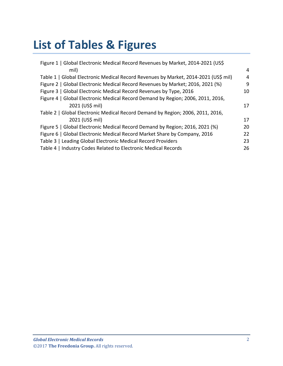## **List of Tables & Figures**

| Figure 1   Global Electronic Medical Record Revenues by Market, 2014-2021 (US\$)    |                |
|-------------------------------------------------------------------------------------|----------------|
| mil)                                                                                | $\overline{4}$ |
| Table 1   Global Electronic Medical Record Revenues by Market, 2014-2021 (US\$ mil) | 4              |
| Figure 2   Global Electronic Medical Record Revenues by Market; 2016, 2021 (%)      | 9              |
| Figure 3   Global Electronic Medical Record Revenues by Type, 2016                  | 10             |
| Figure 4   Global Electronic Medical Record Demand by Region; 2006, 2011, 2016,     |                |
| 2021 (US\$ mil)                                                                     | 17             |
| Table 2   Global Electronic Medical Record Demand by Region; 2006, 2011, 2016,      |                |
| 2021 (US\$ mil)                                                                     | 17             |
| Figure 5   Global Electronic Medical Record Demand by Region; 2016, 2021 (%)        | 20             |
| Figure 6   Global Electronic Medical Record Market Share by Company, 2016           | 22             |
| Table 3   Leading Global Electronic Medical Record Providers                        | 23             |
| Table 4   Industry Codes Related to Electronic Medical Records                      | 26             |
|                                                                                     |                |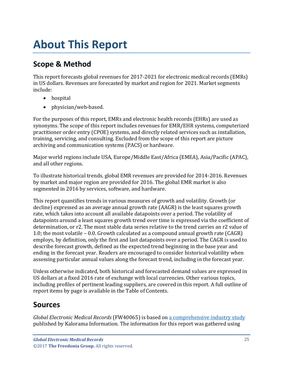### <span id="page-3-0"></span>**About This Report**

### <span id="page-3-1"></span>**Scope & Method**

This report forecasts global revenues for 2017-2021 for electronic medical records (EMRs) in US dollars. Revenues are forecasted by market and region for 2021. Market segments include:

- hospital
- physician/web-based.

For the purposes of this report, EMRs and electronic health records (EHRs) are used as synonyms. The scope of this report includes revenues for EMR/EHR systems, computerized practitioner order entry (CPOE) systems, and directly related services such as installation, training, servicing, and consulting. Excluded from the scope of this report are picture archiving and communication systems (PACS) or hardware.

Major world regions include USA, Europe/Middle East/Africa (EMEA), Asia/Pacific (APAC), and all other regions.

To illustrate historical trends, global EMR revenues are provided for 2014-2016. Revenues by market and major region are provided for 2016. The global EMR market is also segmented in 2016 by services, software, and hardware.

This report quantifies trends in various measures of growth and volatility. Growth (or decline) expressed as an average annual growth rate (AAGR) is the least squares growth rate, which takes into account all available datapoints over a period. The volatility of datapoints around a least squares growth trend over time is expressed via the coefficient of determination, or r2. The most stable data series relative to the trend carries an r2 value of 1.0; the most volatile – 0.0. Growth calculated as a compound annual growth rate (CAGR) employs, by definition, only the first and last datapoints over a period. The CAGR is used to describe forecast growth, defined as the expected trend beginning in the base year and ending in the forecast year. Readers are encouraged to consider historical volatility when assessing particular annual values along the forecast trend, including in the forecast year.

Unless otherwise indicated, both historical and forecasted demand values are expressed in US dollars at a fixed 2016 rate of exchange with local currencies. Other various topics, including profiles of pertinent leading suppliers, are covered in this report. A full outline of report items by page is available in the Table of Contents.

#### <span id="page-3-2"></span>**Sources**

*Global Electronic Medical Records* (FW40065) is based on [a comprehensive industry study](https://www.kaloramainformation.com/EMR-Electronic-Medical-10785187/) published by Kalorama Information. The information for this report was gathered using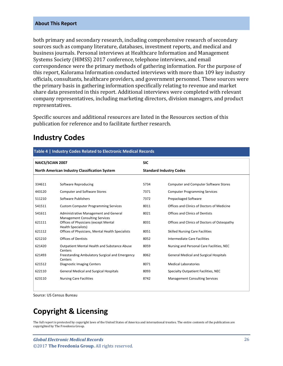#### **About This Report**

both primary and secondary research, including comprehensive research of secondary sources such as company literature, databases, investment reports, and medical and business journals. Personal interviews at Healthcare Information and Management Systems Society (HIMSS) 2017 conference, telephone interviews, and email correspondence were the primary methods of gathering information. For the purpose of this report, Kalorama Information conducted interviews with more than 109 key industry officials, consultants, healthcare providers, and government personnel. These sources were the primary basis in gathering information specifically relating to revenue and market share data presented in this report. Additional interviews were completed with relevant company representatives, including marketing directors, division managers, and product representatives.

Specific sources and additional resources are listed in the Resources section of this publication for reference and to facilitate further research.

#### <span id="page-4-0"></span>**Industry Codes**

<span id="page-4-1"></span>

| Table 4   Industry Codes Related to Electronic Medical Records |                                                                                |                                |                                               |  |
|----------------------------------------------------------------|--------------------------------------------------------------------------------|--------------------------------|-----------------------------------------------|--|
| <b>NAICS/SCIAN 2007</b>                                        |                                                                                | <b>SIC</b>                     |                                               |  |
| North American Industry Classification System                  |                                                                                | <b>Standard Industry Codes</b> |                                               |  |
|                                                                |                                                                                |                                |                                               |  |
| 334611                                                         | Software Reproducing                                                           | 5734                           | <b>Computer and Computer Software Stores</b>  |  |
| 443120                                                         | <b>Computer and Software Stores</b>                                            | 7371                           | <b>Computer Programming Services</b>          |  |
| 511210                                                         | Software Publishers                                                            | 7372                           | Prepackaged Software                          |  |
| 541511                                                         | <b>Custom Computer Programming Services</b>                                    | 8011                           | Offices and Clinics of Doctors of Medicine    |  |
| 541611                                                         | Administrative Management and General<br><b>Management Consulting Services</b> | 8021                           | <b>Offices and Clinics of Dentists</b>        |  |
| 621111                                                         | Offices of Physicians (except Mental<br><b>Health Specialists)</b>             | 8031                           | Offices and Clinics of Doctors of Osteopathy  |  |
| 621112                                                         | Offices of Physicians, Mental Health Specialists                               | 8051                           | <b>Skilled Nursing Care Facilities</b>        |  |
| 621210                                                         | <b>Offices of Dentists</b>                                                     | 8052                           | Intermediate Care Facilities                  |  |
| 621420                                                         | Outpatient Mental Health and Substance Abuse<br>Centers                        | 8059                           | Nursing and Personal Care Facilities, NEC     |  |
| 621493                                                         | Freestanding Ambulatory Surgical and Emergency<br>Centers                      | 8062                           | <b>General Medical and Surgical Hospitals</b> |  |
| 621512                                                         | <b>Diagnostic Imaging Centers</b>                                              | 8071                           | <b>Medical Laboratories</b>                   |  |
| 622110                                                         | <b>General Medical and Surgical Hospitals</b>                                  | 8093                           | Specialty Outpatient Facilities, NEC          |  |
| 623110                                                         | <b>Nursing Care Facilities</b>                                                 | 8742                           | <b>Management Consulting Services</b>         |  |

Source: US Census Bureau

### **Copyright & Licensing**

The full report is protected by copyright laws of the United States of America and international treaties. The entire contents of the publication are copyrighted by The Freedonia Group.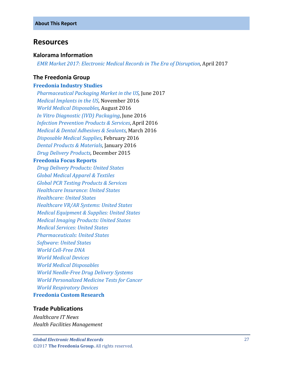#### <span id="page-5-0"></span>**Resources**

#### **Kalorama Information**

 *[EMR Market 2017: Electronic Medical Records in The Era of Disruption,](https://www.kaloramainformation.com/EMR-Electronic-Medical-10785187/)* April 2017

#### **The Freedonia Group**

#### **[Freedonia Industry Studies](http://www.freedoniagroup.com/Home.aspx?ReferrerId=FL-Focus)**

 *[Pharmaceutical Packaging Market in the US,](http://www.freedoniagroup.com/DocumentDetails.aspx?ReferrerId=FL-FOCUS&studyid=3523)* June 2017  *[Medical Implants in the US](http://www.freedoniagroup.com/DocumentDetails.aspx?ReferrerId=FL-FOCUS&studyid=3465)*, November 2016  *[World Medical Disposables,](http://www.freedoniagroup.com/DocumentDetails.aspx?ReferrerId=FL-FOCUS&studyid=3446)* August 2016  *[In Vitro Diagnostic \(IVD\) Packaging](http://www.freedoniagroup.com/DocumentDetails.aspx?ReferrerId=FL-FOCUS&studyid=3421)*, June 2016 *[Infection Prevention Products & Services](http://www.freedoniagroup.com/DocumentDetails.aspx?ReferrerId=FL-FOCUS&studyid=3403)*, April 2016  *[Medical & Dental Adhesives & Sealants](http://www.freedoniagroup.com/DocumentDetails.aspx?ReferrerId=FL-FOCUS&studyid=3390)*, March 2016  *[Disposable Medical Supplies,](http://www.freedoniagroup.com/DocumentDetails.aspx?ReferrerId=FL-FOCUS&studyid=3378)* February 2016 *[Dental Products & Materials](http://www.freedoniagroup.com/DocumentDetails.aspx?ReferrerId=FL-FOCUS&studyid=3359)*, January 2016  *[Drug Delivery Products,](http://www.freedoniagroup.com/DocumentDetails.aspx?ReferrerId=FL-FOCUS&studyid=3354)* December 2015

#### **[Freedonia Focus Reports](https://www.freedoniafocusreports.com/redirect.asp?progid=89534&url=/)**

 *[Drug Delivery Products: United States](https://www.freedoniafocusreports.com/Drug-Delivery-Products-United-States-9749250/) [Global Medical Apparel & Textiles](https://www.freedoniafocusreports.com/Global-Medical-Apparel-Textiles-FW40072/) [Global PCR Testing Products & Services](https://www.freedoniafocusreports.com/Global-PCR-Testing-Products-Services-FW40073/) [Healthcare Insurance: United States](https://www.freedoniafocusreports.com/Healthcare-Insurance-United-States-8983284/) [Healthcare: United States](https://www.freedoniafocusreports.com/Healthcare-United-States-9513084/) [Healthcare VR/AR Systems: United States](https://www.freedoniafocusreports.com/Healthcare-VR-AR-Systems-United-States-FF40074/) [Medical Equipment & Supplies: United States](https://www.freedoniafocusreports.com/Medical-Equipment-Supplies-United-States-9864009/) [Medical Imaging Products: United States](https://www.freedoniafocusreports.com/Medical-Imaging-Products-United-States-9402419/) [Medical Services: United States](https://www.freedoniafocusreports.com/Medical-Services-United-States-9513114/) [Pharmaceuticals: United States](https://www.freedoniafocusreports.com/Pharmaceuticals-United-States-10048193/) [Software: United States](https://www.freedoniafocusreports.com/Software-United-States-FF95028/) [World Cell-Free DNA](https://www.freedoniafocusreports.com/World-Cell-Free-DNA-10775064/) [World Medical Devices](https://www.freedoniafocusreports.com/World-Medical-Devices-10335318/) [World Medical Disposables](https://www.freedoniafocusreports.com/World-Medical-Disposables-10335312/)  [World Needle-Free Drug Delivery Systems](https://www.freedoniafocusreports.com/World-Needle-Free-Drug-Delivery-Systems-10335315/) [World Personalized Medicine Tests for Cancer](https://www.freedoniafocusreports.com/World-Personalized-Medicine-Tests-for-Cancer-10775061/) [World Respiratory Devices](https://www.freedoniafocusreports.com/World-Respiratory-Devices-FW40070/)* **[Freedonia Custom Research](http://www.freedoniagroup.com/CustomResearch.aspx?ReferrerId=FL-Focus)**

#### **Trade Publications**

*Healthcare IT News Health Facilities Management*